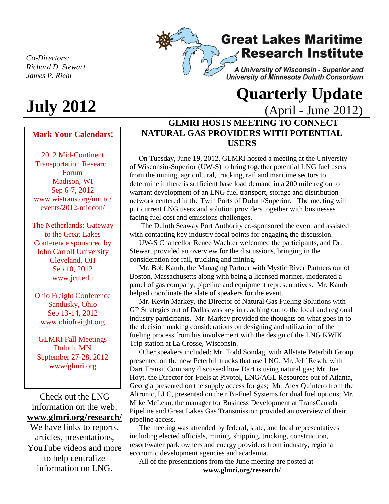*Co-Directors: Richard D. Stewart James P. Riehl*

# **July 2012**

#### **Mark Your Calendars!**

2012 Mid-Continent Transportation Research Forum Madison, WI Sep 6-7, 2012 www.wistrans.org/mrutc/ events/2012-midcon/

The Netherlands: Gateway to the Great Lakes Conference sponsored by John Carroll University Cleveland, OH Sep 10, 2012 www.jcu.edu

Ohio Freight Conference Sandusky, Ohio Sep 13-14, 2012 www.ohiofreight.org

GLMRI Fall Meetings Duluth, MN September 27-28, 2012 www/glmri.org

Check out the LNG information on the web: **[www.glmri.org/research/](http://www.glmri.org/research/)**

We have links to reports, articles, presentations, YouTube videos and more to help centralize information on LNG.

## **Great Lakes Maritime Research Institute**

A University of Wisconsin - Superior and University of Minnesota Duluth Consortium

## **Quarterly Update**  (April - June 2012)

### **GLMRI HOSTS MEETING TO CONNECT NATURAL GAS PROVIDERS WITH POTENTIAL USERS**

 On Tuesday, June 19, 2012, GLMRI hosted a meeting at the University of Wisconsin-Superior (UW-S) to bring together potential LNG fuel users from the mining, agricultural, trucking, rail and maritime sectors to determine if there is sufficient base load demand in a 200 mile region to warrant development of an LNG fuel transport, storage and distribution network centered in the Twin Ports of Duluth/Superior. The meeting will put current LNG users and solution providers together with businesses facing fuel cost and emissions challenges.

 The Duluth Seaway Port Authority co-sponsored the event and assisted with contacting key industry focal points for engaging the discussion.

 UW-S Chancellor Renee Wachter welcomed the participants, and Dr. Stewart provided an overview for the discussions, bringing in the consideration for rail, trucking and mining.

 Mr. Bob Kamb, the Managing Partner with Mystic River Partners out of Boston, Massachusetts along with being a licensed mariner, moderated a panel of gas company, pipeline and equipment representatives. Mr. Kamb helped coordinate the slate of speakers for the event.

 Mr. Kevin Markey, the Director of Natural Gas Fueling Solutions with GP Strategies out of Dallas was key in reaching out to the local and regional industry participants. Mr. Markey provided the thoughts on what goes in to the decision making considerations on designing and utilization of the fueling process from his involvement with the design of the LNG KWIK Trip station at La Crosse, Wisconsin.

 Other speakers included: Mr. Todd Sondag, with Allstate Peterbilt Group presented on the new Peterbilt trucks that use LNG; Mr. Jeff Resch, with Dart Transit Company discussed how Dart is using natural gas; Mr. Joe Hoyt, the Director for Fuels at Pivotol, LNG/AGL Resources out of Atlanta, Georgia presented on the supply access for gas; Mr. Alex Quintero from the Altronic, LLC, presented on their Bi-Fuel Systems for dual fuel options; Mr. Mike McLean, the manager for Business Development at TransCanada Pipeline and Great Lakes Gas Transmission provided an overview of their pipeline access.

 The meeting was attended by federal, state, and local representatives including elected officials, mining, shipping, trucking, construction, resort/water park owners and energy providers from industry, regional economic development agencies and academia.

 All of the presentations from the June meeting are posted at **www.glmri.org/research/**